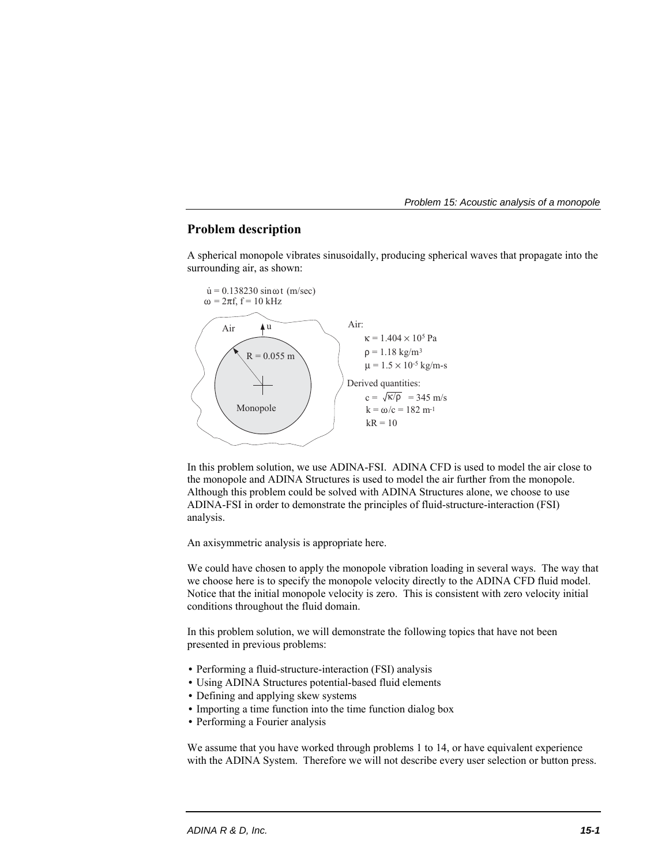# **Problem description**

A spherical monopole vibrates sinusoidally, producing spherical waves that propagate into the surrounding air, as shown:



In this problem solution, we use ADINA-FSI. ADINA CFD is used to model the air close to the monopole and ADINA Structures is used to model the air further from the monopole. Although this problem could be solved with ADINA Structures alone, we choose to use ADINA-FSI in order to demonstrate the principles of fluid-structure-interaction (FSI) analysis.

An axisymmetric analysis is appropriate here.

We could have chosen to apply the monopole vibration loading in several ways. The way that we choose here is to specify the monopole velocity directly to the ADINA CFD fluid model. Notice that the initial monopole velocity is zero. This is consistent with zero velocity initial conditions throughout the fluid domain.

In this problem solution, we will demonstrate the following topics that have not been presented in previous problems:

- Performing a fluid-structure-interaction (FSI) analysis
- Using ADINA Structures potential-based fluid elements
- Defining and applying skew systems
- Importing a time function into the time function dialog box
- Performing a Fourier analysis

We assume that you have worked through problems 1 to 14, or have equivalent experience with the ADINA System. Therefore we will not describe every user selection or button press.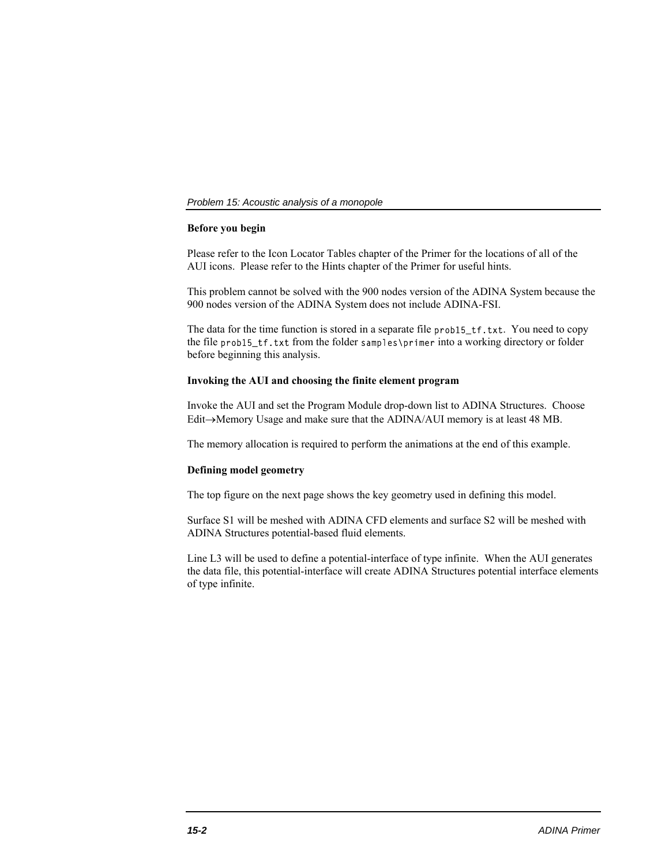# **Before you begin**

Please refer to the Icon Locator Tables chapter of the Primer for the locations of all of the AUI icons. Please refer to the Hints chapter of the Primer for useful hints.

This problem cannot be solved with the 900 nodes version of the ADINA System because the 900 nodes version of the ADINA System does not include ADINA-FSI.

The data for the time function is stored in a separate file prob15\_tf.txt. You need to copy the file prob15\_tf.txt from the folder samples\primer into a working directory or folder before beginning this analysis.

### **Invoking the AUI and choosing the finite element program**

Invoke the AUI and set the Program Module drop-down list to ADINA Structures. Choose Edit $\rightarrow$ Memory Usage and make sure that the ADINA/AUI memory is at least 48 MB.

The memory allocation is required to perform the animations at the end of this example.

# **Defining model geometry**

The top figure on the next page shows the key geometry used in defining this model.

Surface S1 will be meshed with ADINA CFD elements and surface S2 will be meshed with ADINA Structures potential-based fluid elements.

Line L3 will be used to define a potential-interface of type infinite. When the AUI generates the data file, this potential-interface will create ADINA Structures potential interface elements of type infinite.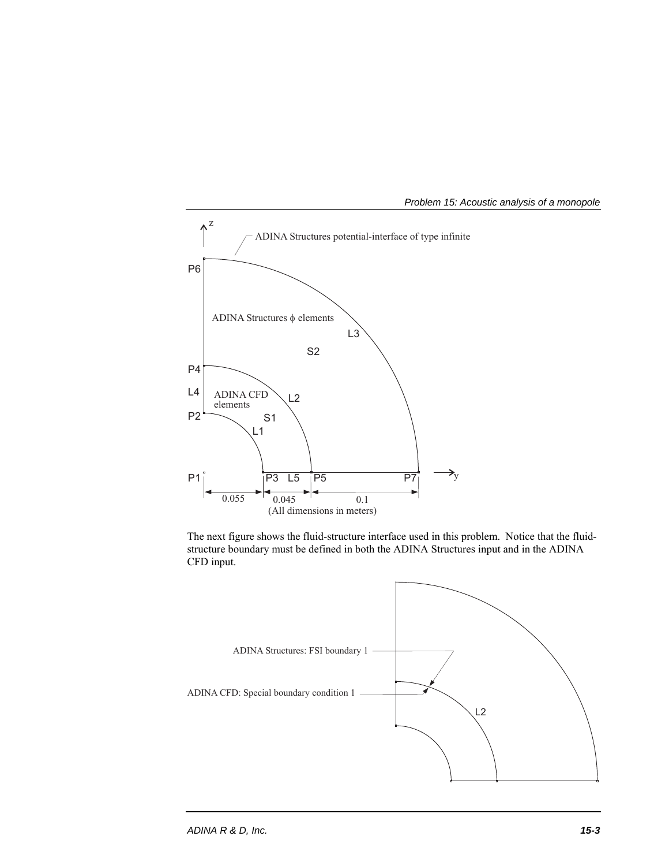

The next figure shows the fluid-structure interface used in this problem. Notice that the fluidstructure boundary must be defined in both the ADINA Structures input and in the ADINA CFD input.

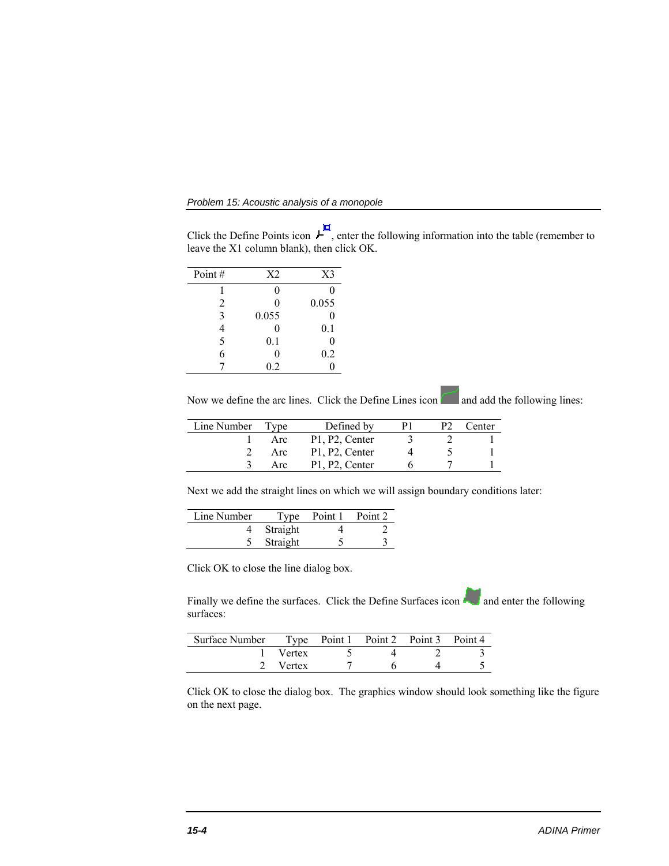*Problem 15: Acoustic analysis of a monopole* 

Click the Define Points icon  $L^{\overline{H}}$ , enter the following information into the table (remember to leave the X1 column blank), then click OK.

| Point $#$ | X <sub>2</sub> | X <sub>3</sub> |
|-----------|----------------|----------------|
|           | 0              | 0              |
| 2         | 0              | 0.055          |
| 3         | 0.055          | 0              |
|           | 0              | 0.1            |
| 5         | 0.1            | 0              |
| 6         | 0              | 0.2            |
|           | 0.2            | 0              |
|           |                |                |

Now we define the arc lines. Click the Define Lines icon and add the following lines:

| Line Number | Tvne | Defined by     | ÞТ | ∑enter ∶ |
|-------------|------|----------------|----|----------|
|             | Arc  | P1, P2, Center |    |          |
|             | Arc  | P1, P2, Center |    |          |
|             | Arc  | P1, P2, Center |    |          |

Next we add the straight lines on which we will assign boundary conditions later:

| Line Number |          | Type Point 1 Point 2 |  |
|-------------|----------|----------------------|--|
|             | Straight |                      |  |
|             | Straight |                      |  |

Click OK to close the line dialog box.

Finally we define the surfaces. Click the Define Surfaces icon and enter the following surfaces:

| Surface Number Type Point 1 Point 2 Point 3 Point 4 |               |  |  |
|-----------------------------------------------------|---------------|--|--|
|                                                     | <b>Vertex</b> |  |  |
|                                                     | 2 Vertex      |  |  |

Click OK to close the dialog box. The graphics window should look something like the figure on the next page.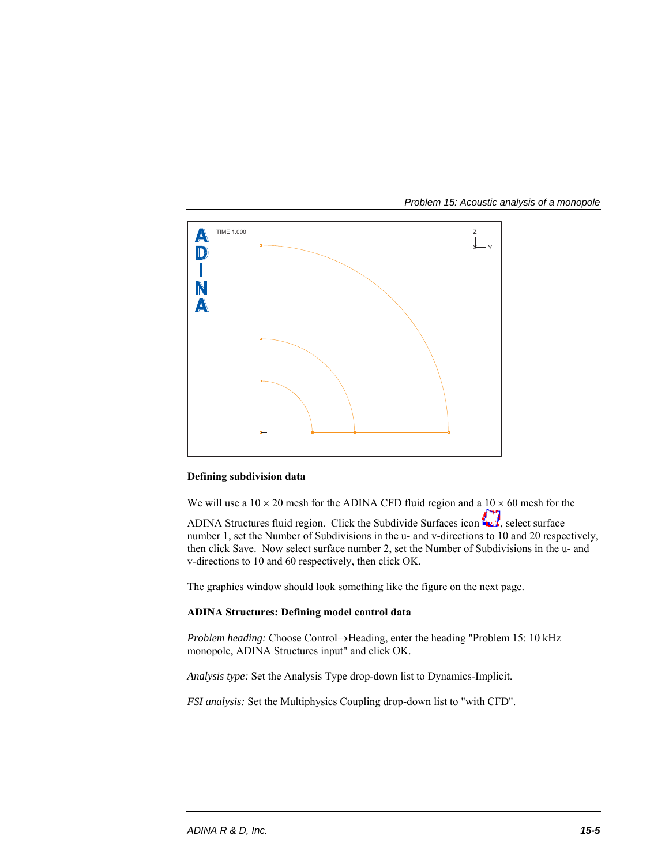*Problem 15: Acoustic analysis of a monopole* 



# **Defining subdivision data**

We will use a  $10 \times 20$  mesh for the ADINA CFD fluid region and a  $10 \times 60$  mesh for the ADINA Structures fluid region. Click the Subdivide Surfaces icon  $\Box$ , select surface number 1, set the Number of Subdivisions in the u- and v-directions to 10 and 20 respectively, then click Save. Now select surface number 2, set the Number of Subdivisions in the u- and v-directions to 10 and 60 respectively, then click OK.

The graphics window should look something like the figure on the next page.

### **ADINA Structures: Defining model control data**

*Problem heading:* Choose Control->Heading, enter the heading "Problem 15: 10 kHz monopole, ADINA Structures input" and click OK.

*Analysis type:* Set the Analysis Type drop-down list to Dynamics-Implicit.

*FSI analysis:* Set the Multiphysics Coupling drop-down list to "with CFD".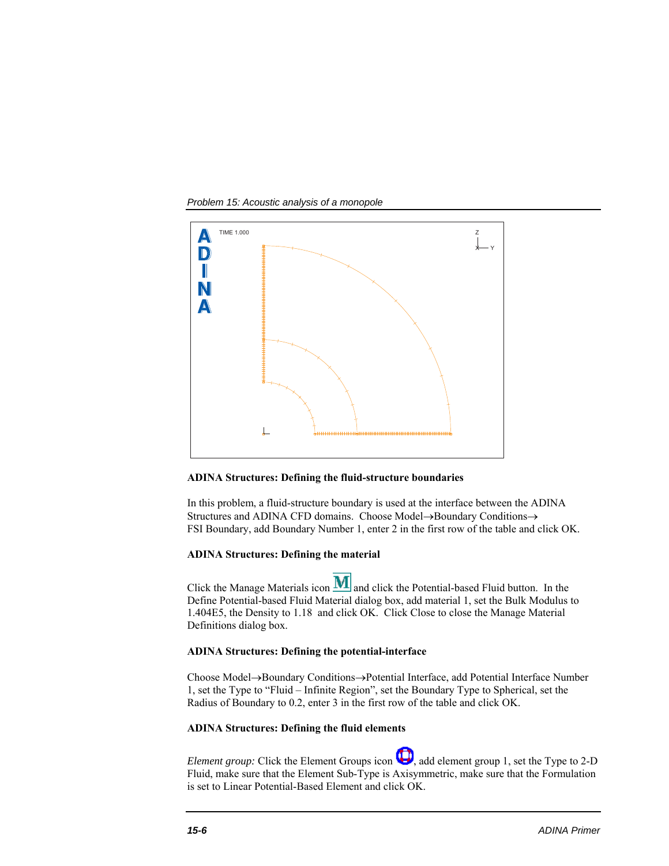*Problem 15: Acoustic analysis of a monopole* 



### **ADINA Structures: Defining the fluid-structure boundaries**

In this problem, a fluid-structure boundary is used at the interface between the ADINA Structures and ADINA CFD domains. Choose Model $\rightarrow$ Boundary Conditions $\rightarrow$ FSI Boundary, add Boundary Number 1, enter 2 in the first row of the table and click OK.

### **ADINA Structures: Defining the material**

Click the Manage Materials icon  **and click the Potential-based Fluid button. In the** Define Potential-based Fluid Material dialog box, add material 1, set the Bulk Modulus to 1.404E5, the Density to 1.18 and click OK. Click Close to close the Manage Material Definitions dialog box.

#### **ADINA Structures: Defining the potential-interface**

Choose Model->Boundary Conditions->Potential Interface, add Potential Interface Number 1, set the Type to "Fluid – Infinite Region", set the Boundary Type to Spherical, set the Radius of Boundary to 0.2, enter 3 in the first row of the table and click OK.

# **ADINA Structures: Defining the fluid elements**

*Element group:* Click the Element Groups icon  $\Box$ , add element group 1, set the Type to 2-D Fluid, make sure that the Element Sub-Type is Axisymmetric, make sure that the Formulation is set to Linear Potential-Based Element and click OK.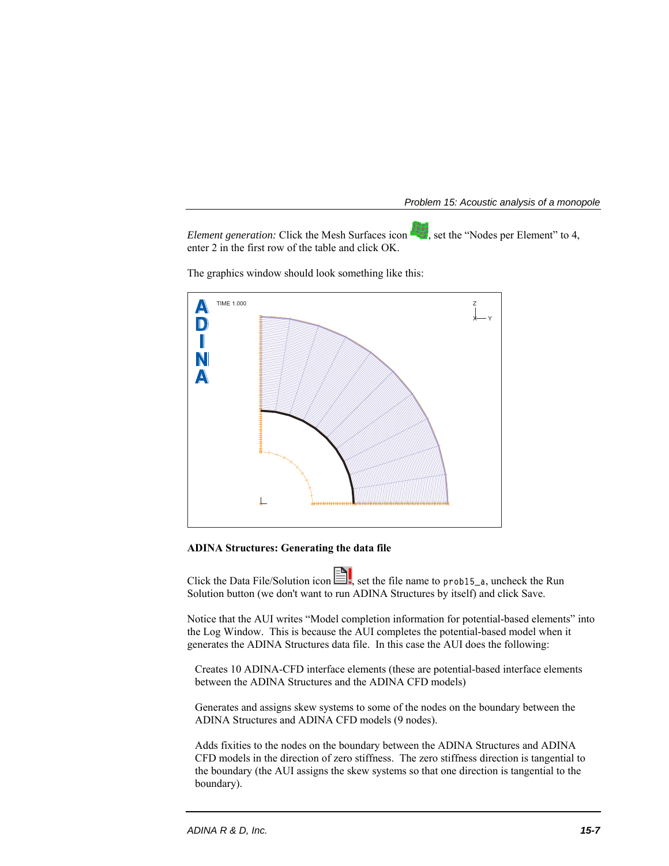*Element generation:* Click the Mesh Surfaces icon **Example 18**, set the "Nodes per Element" to 4, enter 2 in the first row of the table and click OK.

The graphics window should look something like this:



# **ADINA Structures: Generating the data file**

Click the Data File/Solution icon  $\Box$ , set the file name to prob15\_a, uncheck the Run Solution button (we don't want to run ADINA Structures by itself) and click Save.

Notice that the AUI writes "Model completion information for potential-based elements" into the Log Window. This is because the AUI completes the potential-based model when it generates the ADINA Structures data file. In this case the AUI does the following:

Creates 10 ADINA-CFD interface elements (these are potential-based interface elements between the ADINA Structures and the ADINA CFD models)

Generates and assigns skew systems to some of the nodes on the boundary between the ADINA Structures and ADINA CFD models (9 nodes).

Adds fixities to the nodes on the boundary between the ADINA Structures and ADINA CFD models in the direction of zero stiffness. The zero stiffness direction is tangential to the boundary (the AUI assigns the skew systems so that one direction is tangential to the boundary).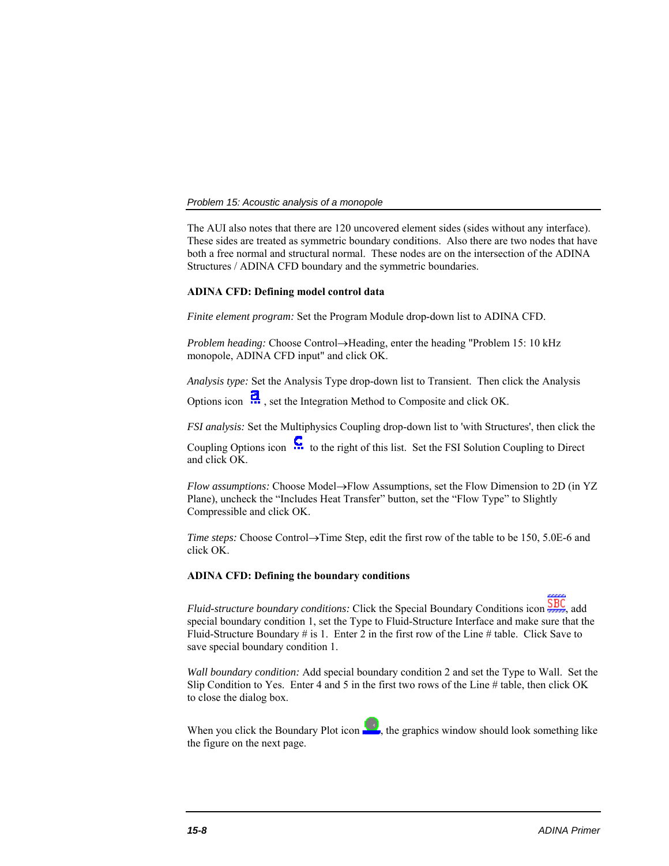The AUI also notes that there are 120 uncovered element sides (sides without any interface). These sides are treated as symmetric boundary conditions. Also there are two nodes that have both a free normal and structural normal. These nodes are on the intersection of the ADINA Structures / ADINA CFD boundary and the symmetric boundaries.

### **ADINA CFD: Defining model control data**

*Finite element program:* Set the Program Module drop-down list to ADINA CFD.

*Problem heading:* Choose Control->Heading, enter the heading "Problem 15: 10 kHz monopole, ADINA CFD input" and click OK.

*Analysis type:* Set the Analysis Type drop-down list to Transient. Then click the Analysis

Options icon  $\ddot{R}$ , set the Integration Method to Composite and click OK.

*FSI analysis:* Set the Multiphysics Coupling drop-down list to 'with Structures', then click the

Coupling Options icon  $\mathbf{C}$  to the right of this list. Set the FSI Solution Coupling to Direct and click OK.

*Flow assumptions:* Choose Model->Flow Assumptions, set the Flow Dimension to 2D (in YZ Plane), uncheck the "Includes Heat Transfer" button, set the "Flow Type" to Slightly Compressible and click OK.

*Time steps:* Choose Control $\rightarrow$ Time Step, edit the first row of the table to be 150, 5.0E-6 and click OK.

### **ADINA CFD: Defining the boundary conditions**

*Fluid-structure boundary conditions:* Click the Special Boundary Conditions icon  $\frac{\overline{SBC}}{SAC}$ , add special boundary condition 1, set the Type to Fluid-Structure Interface and make sure that the Fluid-Structure Boundary # is 1. Enter 2 in the first row of the Line # table. Click Save to save special boundary condition 1.

*Wall boundary condition:* Add special boundary condition 2 and set the Type to Wall. Set the Slip Condition to Yes. Enter 4 and 5 in the first two rows of the Line # table, then click OK to close the dialog box.

When you click the Boundary Plot icon  $\mathbb{R}^3$ , the graphics window should look something like the figure on the next page.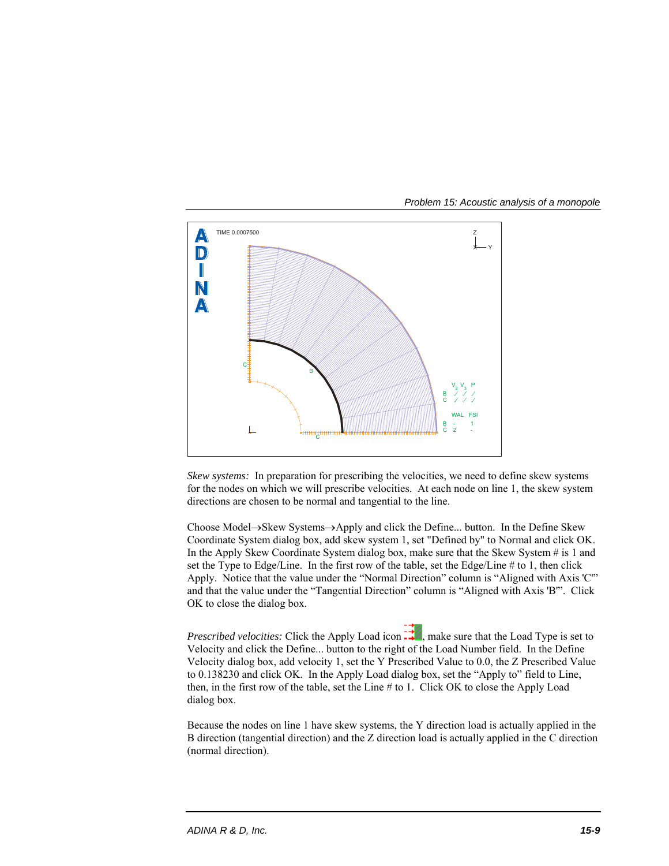

*Skew systems:* In preparation for prescribing the velocities, we need to define skew systems for the nodes on which we will prescribe velocities. At each node on line 1, the skew system directions are chosen to be normal and tangential to the line.

Choose Model $\rightarrow$ Skew Systems $\rightarrow$ Apply and click the Define... button. In the Define Skew Coordinate System dialog box, add skew system 1, set "Defined by" to Normal and click OK. In the Apply Skew Coordinate System dialog box, make sure that the Skew System # is 1 and set the Type to Edge/Line. In the first row of the table, set the Edge/Line # to 1, then click Apply. Notice that the value under the "Normal Direction" column is "Aligned with Axis 'C'" and that the value under the "Tangential Direction" column is "Aligned with Axis 'B'". Click OK to close the dialog box.

*Prescribed velocities:* Click the Apply Load icon  $\frac{1}{\sqrt{2}}$ , make sure that the Load Type is set to Velocity and click the Define... button to the right of the Load Number field. In the Define Velocity dialog box, add velocity 1, set the Y Prescribed Value to 0.0, the Z Prescribed Value to 0.138230 and click OK. In the Apply Load dialog box, set the "Apply to" field to Line, then, in the first row of the table, set the Line # to 1. Click OK to close the Apply Load dialog box.

Because the nodes on line 1 have skew systems, the Y direction load is actually applied in the B direction (tangential direction) and the Z direction load is actually applied in the C direction (normal direction).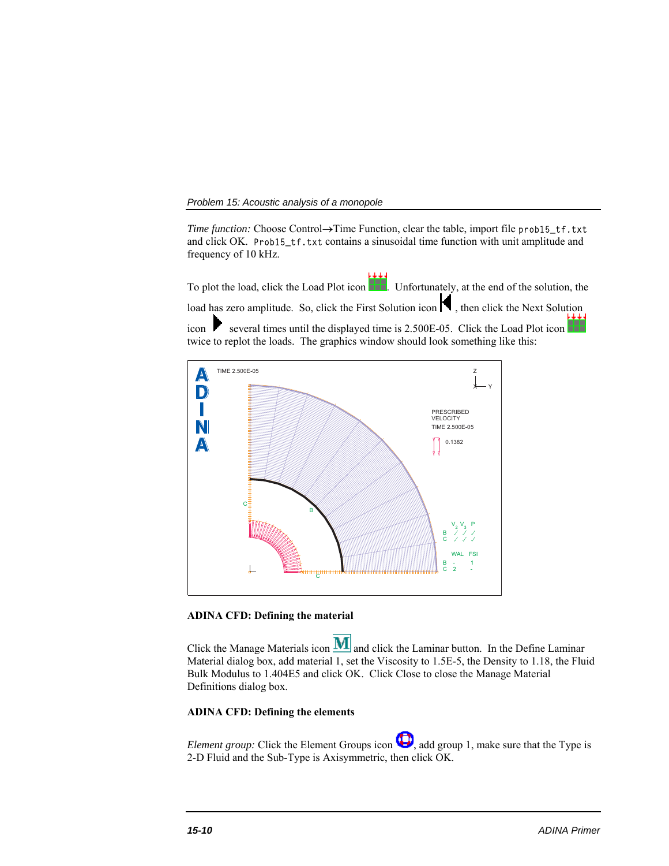*Time function:* Choose Control→Time Function, clear the table, import file prob15\_tf.txt and click OK. Prob15\_tf.txt contains a sinusoidal time function with unit amplitude and frequency of 10 kHz.

To plot the load, click the Load Plot icon ... Unfortunately, at the end of the solution, the load has zero amplitude. So, click the First Solution icon  $\blacksquare$ , then click the Next Solution icon several times until the displayed time is  $2.500E-05$ . Click the Load Plot icon twice to replot the loads. The graphics window should look something like this:



# **ADINA CFD: Defining the material**

Click the Manage Materials icon  $\bf{M}$  and click the Laminar button. In the Define Laminar Material dialog box, add material 1, set the Viscosity to 1.5E-5, the Density to 1.18, the Fluid Bulk Modulus to 1.404E5 and click OK. Click Close to close the Manage Material Definitions dialog box.

# **ADINA CFD: Defining the elements**

*Element group:* Click the Element Groups icon  $\bigoplus$ , add group 1, make sure that the Type is 2-D Fluid and the Sub-Type is Axisymmetric, then click OK.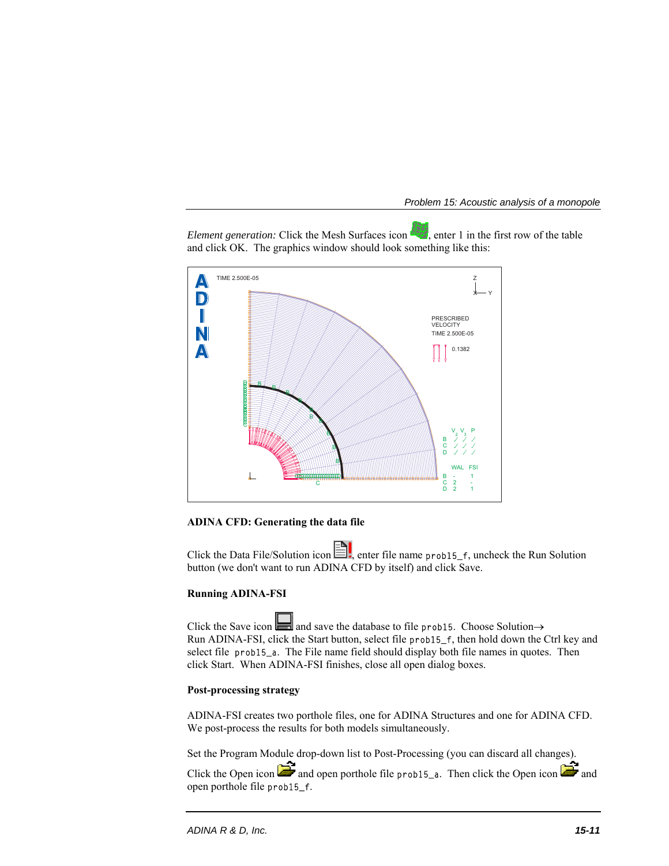*Element generation:* Click the Mesh Surfaces icon **Fig.**, enter 1 in the first row of the table and click OK. The graphics window should look something like this:



**ADINA CFD: Generating the data file**

Click the Data File/Solution icon  $\Box$ , enter file name prob15\_f, uncheck the Run Solution button (we don't want to run ADINA CFD by itself) and click Save.

# **Running ADINA-FSI**

Click the Save icon  $\Box$  and save the database to file prob15. Choose Solution  $\rightarrow$ Run ADINA-FSI, click the Start button, select file prob15\_f, then hold down the Ctrl key and select file prob15\_a. The File name field should display both file names in quotes. Then click Start. When ADINA-FSI finishes, close all open dialog boxes.

### **Post-processing strategy**

ADINA-FSI creates two porthole files, one for ADINA Structures and one for ADINA CFD. We post-process the results for both models simultaneously.

Set the Program Module drop-down list to Post-Processing (you can discard all changes).

Click the Open icon **and** and open porthole file prob15\_a. Then click the Open icon **a**nd open porthole file prob15\_f.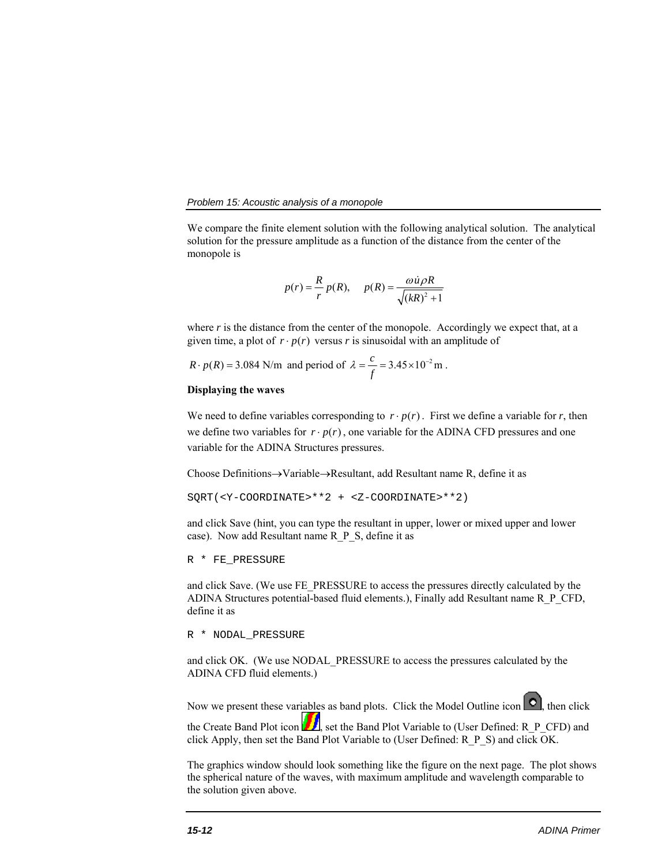We compare the finite element solution with the following analytical solution. The analytical solution for the pressure amplitude as a function of the distance from the center of the monopole is

$$
p(r) = \frac{R}{r} p(R), \quad p(R) = \frac{\omega \dot{u} \rho R}{\sqrt{(kR)^2 + 1}}
$$

where *r* is the distance from the center of the monopole. Accordingly we expect that, at a given time, a plot of  $r \cdot p(r)$  versus *r* is sinusoidal with an amplitude of

 $R \cdot p(R) = 3.084$  N/m and period of  $\lambda = \frac{c}{f} = 3.45 \times 10^{-2}$  m.

# **Displaying the waves**

We need to define variables corresponding to  $r \cdot p(r)$ . First we define a variable for r, then we define two variables for  $r \cdot p(r)$ , one variable for the ADINA CFD pressures and one variable for the ADINA Structures pressures.

Choose Definitions $\rightarrow$ Variable $\rightarrow$ Resultant, add Resultant name R, define it as

SQRT(<Y-COORDINATE>\*\*2 + <Z-COORDINATE>\*\*2)

and click Save (hint, you can type the resultant in upper, lower or mixed upper and lower case). Now add Resultant name R\_P\_S, define it as

```
R * FE_PRESSURE
```
and click Save. (We use FE\_PRESSURE to access the pressures directly calculated by the ADINA Structures potential-based fluid elements.), Finally add Resultant name R\_P\_CFD, define it as

R \* NODAL\_PRESSURE

and click OK. (We use NODAL\_PRESSURE to access the pressures calculated by the ADINA CFD fluid elements.)

Now we present these variables as band plots. Click the Model Outline icon  $\bigcirc$ , then click the Create Band Plot icon  $\Box$ , set the Band Plot Variable to (User Defined: R\_P\_CFD) and click Apply, then set the Band Plot Variable to (User Defined: R\_P\_S) and click OK.

The graphics window should look something like the figure on the next page. The plot shows the spherical nature of the waves, with maximum amplitude and wavelength comparable to the solution given above.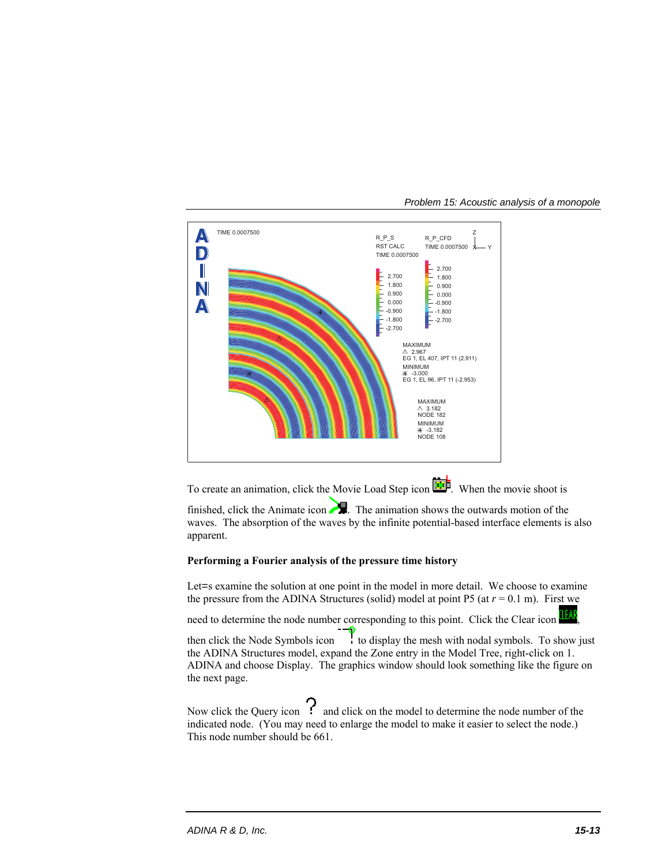

*Problem 15: Acoustic analysis of a monopole* 

To create an animation, click the Movie Load Step icon  $\boxed{\ddot{\ddot{\Omega}}}$ . When the movie shoot is

finished, click the Animate icon  $\blacksquare$ . The animation shows the outwards motion of the waves. The absorption of the waves by the infinite potential-based interface elements is also apparent.

# **Performing a Fourier analysis of the pressure time history**

Let = sexamine the solution at one point in the model in more detail. We choose to examine the pressure from the ADINA Structures (solid) model at point P5 (at  $r = 0.1$  m). First we

need to determine the node number corresponding to this point. Click the Clear icon

then click the Node Symbols icon  $\mathbf{t}$  to display the mesh with nodal symbols. To show just the ADINA Structures model, expand the Zone entry in the Model Tree, right-click on 1. ADINA and choose Display. The graphics window should look something like the figure on the next page.

Now click the Query icon  $\Omega$  and click on the model to determine the node number of the indicated node. (You may need to enlarge the model to make it easier to select the node.) This node number should be 661.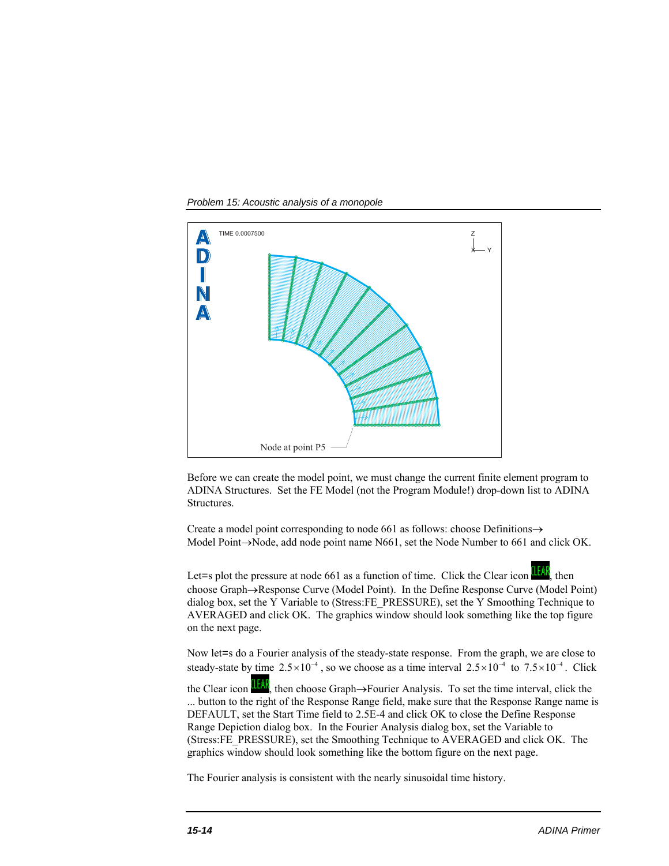*Problem 15: Acoustic analysis of a monopole* 



Before we can create the model point, we must change the current finite element program to ADINA Structures. Set the FE Model (not the Program Module!) drop-down list to ADINA Structures.

Create a model point corresponding to node 661 as follows: choose Definitions $\rightarrow$ Model Point $\rightarrow$ Node, add node point name N661, set the Node Number to 661 and click OK.

Let=s plot the pressure at node 661 as a function of time. Click the Clear icon  $\frac{1}{2}$ , then choose Graph->Response Curve (Model Point). In the Define Response Curve (Model Point) dialog box, set the Y Variable to (Stress:FE\_PRESSURE), set the Y Smoothing Technique to AVERAGED and click OK. The graphics window should look something like the top figure on the next page.

Now let=s do a Fourier analysis of the steady-state response. From the graph, we are close to steady-state by time  $2.5 \times 10^{-4}$ , so we choose as a time interval  $2.5 \times 10^{-4}$  to  $7.5 \times 10^{-4}$ . Click the Clear icon  $\frac{1-fA}{f}$ , then choose Graph->Fourier Analysis. To set the time interval, click the

... button to the right of the Response Range field, make sure that the Response Range name is DEFAULT, set the Start Time field to 2.5E-4 and click OK to close the Define Response Range Depiction dialog box. In the Fourier Analysis dialog box, set the Variable to (Stress:FE\_PRESSURE), set the Smoothing Technique to AVERAGED and click OK. The graphics window should look something like the bottom figure on the next page.

The Fourier analysis is consistent with the nearly sinusoidal time history.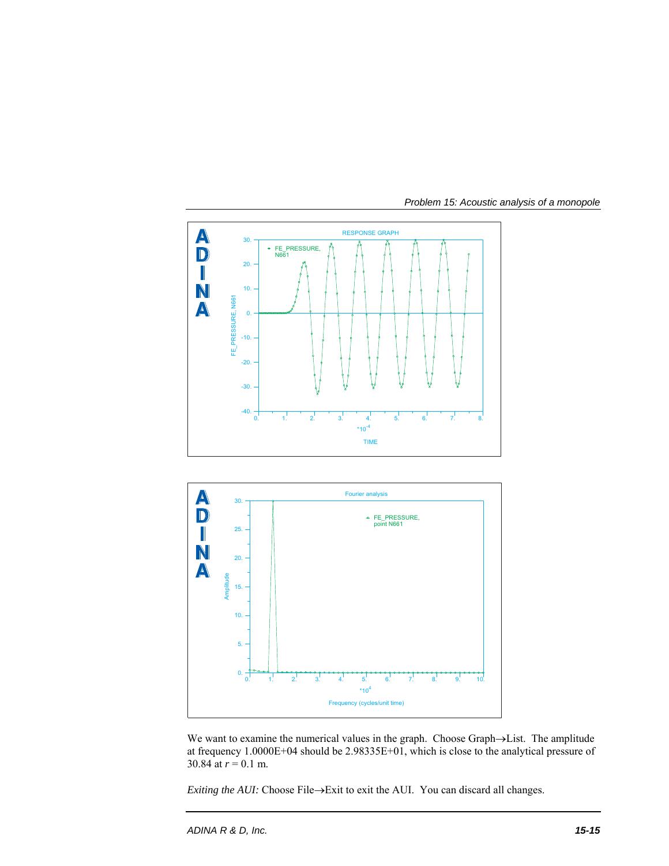





We want to examine the numerical values in the graph. Choose Graph->List. The amplitude at frequency 1.0000E+04 should be 2.98335E+01, which is close to the analytical pressure of 30.84 at  $r = 0.1$  m.

*Exiting the AUI:* Choose File $\rightarrow$ Exit to exit the AUI. You can discard all changes.